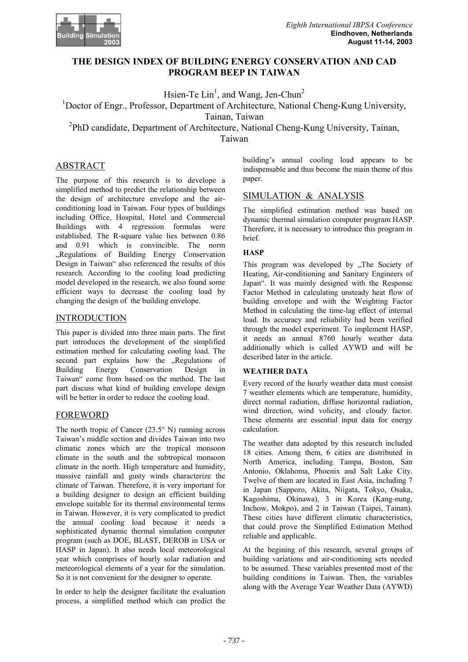

# **THE DESIGN INDEX OF BUILDING ENERGY CONSERVATION AND CAD PROGRAM BEEP IN TAIWAN**

Hsien-Te  $\text{Lin}^1$ , and Wang, Jen-Chun<sup>2</sup>

<sup>1</sup>Doctor of Engr., Professor, Department of Architecture, National Cheng-Kung University,

Tainan, Taiwan

<sup>2</sup>PhD candidate, Department of Architecture, National Cheng-Kung University, Tainan,

Taiwan

# ABSTRACT

The purpose of this research is to develope a simplified method to predict the relationship between the design of architecture envelope and the airconditioning load in Taiwan. Four types of buildings including Office, Hospital, Hotel and Commercial Buildings with 4 regression formulas were established. The R-square value lies between 0.86 and 0.91 which is convincible. The norm ..Regulations of Building Energy Conservation Design in Taiwan" also referenced the results of this research. According to the cooling load predicting model developed in the research, we also found some efficient ways to decrease the cooling load by changing the design of the building envelope.

# INTRODUCTION

This paper is divided into three main parts. The first part introduces the development of the simplified estimation method for calculating cooling load. The second part explains how the "Regulations of Building Energy Conservation Design in Taiwan" come from based on the method. The last part discuss what kind of building envelope design will be better in order to reduce the cooling load.

### FOREWORD

The north tropic of Cancer (23.5° N) running across Taiwan's middle section and divides Taiwan into two climatic zones which are the tropical monsoon climate in the south and the subtropical monsoon climate in the north. High temperature and humidity, massive rainfall and gusty winds characterize the climate of Taiwan. Therefore, it is very important for a building designer to design an efficient building envelope suitable for its thermal environmental terms in Taiwan. However, it is very complicated to predict the annual cooling load because it needs a sophisticated dynamic thermal simulation computer program (such as DOE, BLAST, DEROB in USA or HASP in Japan). It also needs local meteorological year which comprises of hourly solar radiation and meteorological elements of a year for the simulation. So it is not convenient for the designer to operate.

In order to help the designer facilitate the evaluation process, a simplified method which can predict the building's annual cooling load appears to be indispensable and thus become the main theme of this paper.

# SIMULATION & ANALYSIS

The simplified estimation method was based on dynamic thermal simulation computer program HASP. Therefore, it is necessary to introduce this program in brief.

### **HASP**

This program was developed by .The Society of Heating, Air-conditioning and Sanitary Engineers of Japan". It was mainly designed with the Response Factor Method in calculating unsteady heat flow of building envelope and with the Weighting Factor Method in calculating the time-lag effect of internal load. Its accuracy and reliability had been verified through the model experiment. To implement HASP, it needs an annual 8760 hourly weather data additionally which is called AYWD and will be described later in the article.

### **WEATHER DATA**

Every record of the hourly weather data must consist 7 weather elements which are temperature, humidity, direct normal radiation, diffuse horizontal radiation, wind direction, wind volicity, and cloudy factor. These elements are essential input data for energy calculation.

The weather data adopted by this research included 18 cities. Among them, 6 cities are distributed in North America, including Tampa, Boston, San Antonio, Oklahoma, Phoenix and Salt Lake City. Twelve of them are located in East Asia, including 7 in Japan (Sapporo, Akita, Niigata, Tokyo, Osaka, Kagoshima, Okinawa), 3 in Korea (Kang-nung, Inchow, Mokpo), and 2 in Taiwan (Taipei, Tainan). These cities have different climatic characteristics, that could prove the Simplified Estimation Method reliable and applicable.

At the begining of this research, several groups of building variations and air-conditioning sets needed to be assumed. These variables presented most of the building conditions in Taiwan. Then, the variables along with the Average Year Weather Data (AYWD)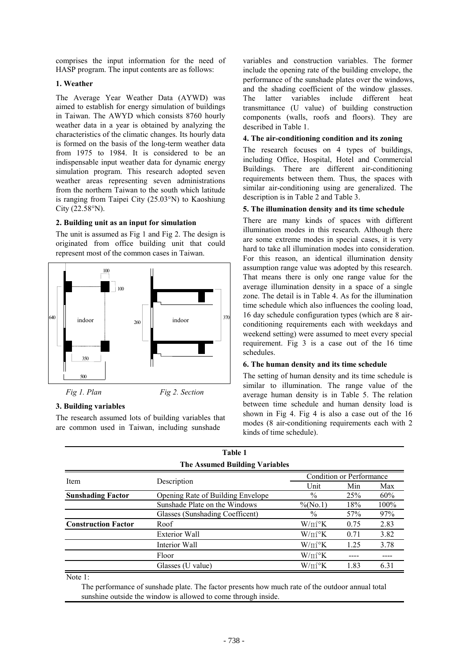comprises the input information for the need of HASP program. The input contents are as follows:

### **1. Weather**

The Average Year Weather Data (AYWD) was aimed to establish for energy simulation of buildings in Taiwan. The AWYD which consists 8760 hourly weather data in a year is obtained by analyzing the characteristics of the climatic changes. Its hourly data is formed on the basis of the long-term weather data from 1975 to 1984. It is considered to be an indispensable input weather data for dynamic energy simulation program. This research adopted seven weather areas representing seven administrations from the northern Taiwan to the south which latitude is ranging from Taipei City (25.03°N) to Kaoshiung City (22.58°N).

### **2. Building unit as an input for simulation**

The unit is assumed as Fig 1 and Fig 2. The design is originated from office building unit that could represent most of the common cases in Taiwan.



## **3. Building variables**

The research assumed lots of building variables that are common used in Taiwan, including sunshade

variables and construction variables. The former include the opening rate of the building envelope, the performance of the sunshade plates over the windows, and the shading coefficient of the window glasses. The latter variables include different heat transmittance (U value) of building construction components (walls, roofs and floors). They are described in Table 1.

## **4. The air-conditioning condition and its zoning**

The research focuses on 4 types of buildings, including Office, Hospital, Hotel and Commercial Buildings. There are different air-conditioning requirements between them. Thus, the spaces with similar air-conditioning using are generalized. The description is in Table 2 and Table 3.

### **5. The illumination density and its time schedule**

There are many kinds of spaces with different illumination modes in this research. Although there are some extreme modes in special cases, it is very hard to take all illumination modes into consideration. For this reason, an identical illumination density assumption range value was adopted by this research. That means there is only one range value for the average illumination density in a space of a single zone. The detail is in Table 4. As for the illumination time schedule which also influences the cooling load, 16 day schedule configuration types (which are 8 airconditioning requirements each with weekdays and weekend setting) were assumed to meet every special requirement. Fig 3 is a case out of the 16 time schedules.

### **6. The human density and its time schedule**

The setting of human density and its time schedule is similar to illumination. The range value of the average human density is in Table 5. The relation between time schedule and human density load is shown in Fig 4. Fig 4 is also a case out of the 16 modes (8 air-conditioning requirements each with 2 kinds of time schedule).

|                                       | <b>Table 1</b>                           |                          |                          |      |  |  |
|---------------------------------------|------------------------------------------|--------------------------|--------------------------|------|--|--|
| <b>The Assumed Building Variables</b> |                                          |                          |                          |      |  |  |
|                                       | Description                              |                          | Condition or Performance |      |  |  |
| Item                                  |                                          | Unit                     | Min                      | Max  |  |  |
| <b>Sunshading Factor</b>              | <b>Opening Rate of Building Envelope</b> | $\%$                     | 25 <sup>%</sup>          | 60%  |  |  |
|                                       | Sunshade Plate on the Windows            | $\%$ (No.1)              | 18%                      | 100% |  |  |
|                                       | Glasses (Sunshading Coefficent)          | $\frac{0}{0}$            | 57%                      | 97%  |  |  |
| <b>Construction Factor</b>            | Roof                                     | $W/m^{2}{}^{\circ}K$     | 0.75                     | 2.83 |  |  |
|                                       | <b>Exterior Wall</b>                     | $W/m^{2}$ <sup>o</sup> K | 0.71                     | 3.82 |  |  |
|                                       | Interior Wall                            | $W/m^{2}$ <sup>o</sup> K | 1.25                     | 3.78 |  |  |
|                                       | Floor                                    | $W/m^{2}$ <sup>o</sup> K |                          |      |  |  |
|                                       | Glasses (U value)                        | $W/m^{2}$ <sup>o</sup> K | 1.83                     | 6.31 |  |  |
| Note 1.                               |                                          |                          |                          |      |  |  |

Note 1:

 The performance of sunshade plate. The factor presents how much rate of the outdoor annual total sunshine outside the window is allowed to come through inside.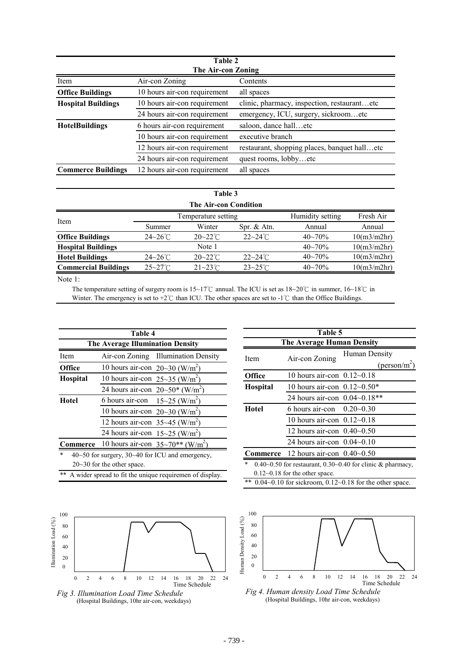| Table 2                   |                              |                                              |  |  |
|---------------------------|------------------------------|----------------------------------------------|--|--|
| The Air-con Zoning        |                              |                                              |  |  |
| Item                      | Air-con Zoning               | Contents                                     |  |  |
| <b>Office Buildings</b>   | 10 hours air-con requirement | all spaces                                   |  |  |
| <b>Hospital Buildings</b> | 10 hours air-con requirement | clinic, pharmacy, inspection, restaurantetc  |  |  |
|                           | 24 hours air-con requirement | emergency, ICU, surgery, sickroometc         |  |  |
| <b>HotelBuildings</b>     | 6 hours air-con requirement  | saloon, dance halletc                        |  |  |
|                           | 10 hours air-con requirement | executive branch                             |  |  |
|                           | 12 hours air-con requirement | restaurant, shopping places, banquet halletc |  |  |
|                           | 24 hours air-con requirement | quest rooms, lobbyetc                        |  |  |
| <b>Commerce Buildings</b> | 12 hours air-con requirement | all spaces                                   |  |  |

# **Table 3**

| <b>The Air-con Condition</b> |                     |                     |                     |                  |             |
|------------------------------|---------------------|---------------------|---------------------|------------------|-------------|
| Item                         | Temperature setting |                     |                     | Humidity setting | Fresh Air   |
|                              | Summer              | Winter              | Spr. $&Atn.$        | Annual           | Annual      |
| <b>Office Buildings</b>      | $24 - 26^{\circ}$ C | $20 - 22^{\circ}$ C | $22 - 24$ °C        | $40 - 70%$       | 10(m3/m2hr) |
| <b>Hospital Buildings</b>    |                     | Note 1              |                     | $40 - 70%$       | 10(m3/m2hr) |
| <b>Hotel Buildings</b>       | $24 - 26^{\circ}$ C | $20 - 22^{\circ}$ C | $22 - 24^{\circ}$ C | $40 - 70%$       | 10(m3/m2hr) |
| <b>Commercial Buildings</b>  | $25 - 27^{\circ}$ C | $21 - 23$ °C        | $23 - 25^{\circ}$ C | $40 - 70%$       | 10(m3/m2hr) |
|                              |                     |                     |                     |                  |             |

Note 1:

The temperature setting of surgery room is 15~17℃ annual. The ICU is set as 18~20℃ in summer, 16~18℃ in Winter. The emergency is set to +2℃ than ICU. The other spaces are set to -1℃ than the Office Buildings.

| Table 4                                                               |                                                                   |  |  |  |
|-----------------------------------------------------------------------|-------------------------------------------------------------------|--|--|--|
| <b>The Average Illumination Density</b>                               |                                                                   |  |  |  |
| Item                                                                  | Air-con Zoning Illumination Density                               |  |  |  |
| <b>Office</b>                                                         | 10 hours air-con $20 \sim 30$ (W/m <sup>2</sup> )                 |  |  |  |
| <b>Hospital</b>                                                       | 10 hours air-con $25\sim35$ (W/m <sup>2</sup> )                   |  |  |  |
|                                                                       | 24 hours air-con $20 \sim 50^*$ (W/m <sup>2</sup> )               |  |  |  |
| <b>Hotel</b>                                                          | 6 hours air-con $15 \sim 25$ (W/m <sup>2</sup> )                  |  |  |  |
|                                                                       | 10 hours air-con $20 \sim 30$ (W/m <sup>2</sup> )                 |  |  |  |
|                                                                       | 12 hours air-con $35 \sim 45$ (W/m <sup>2</sup> )                 |  |  |  |
|                                                                       | 24 hours air-con $15 \sim 25$ (W/m <sup>2</sup> )                 |  |  |  |
|                                                                       | <b>Commerce</b> 10 hours air-con $35\sim70**$ (W/m <sup>2</sup> ) |  |  |  |
| $\ast$<br>$40\sim 50$ for surgery, $30\sim 40$ for ICU and emergency, |                                                                   |  |  |  |
| $20~30$ for the other space.                                          |                                                                   |  |  |  |
| **<br>A wider spread to fit the unique requiremen of display.         |                                                                   |  |  |  |





| Table 5                                                            |                                                                                               |                          |  |  |
|--------------------------------------------------------------------|-----------------------------------------------------------------------------------------------|--------------------------|--|--|
| The Average Human Density                                          |                                                                                               |                          |  |  |
| Item                                                               | Air-con Zoning                                                                                | Human Density            |  |  |
|                                                                    |                                                                                               | (person/m <sup>2</sup> ) |  |  |
| <b>Office</b>                                                      | 10 hours air-con $0.12 - 0.18$                                                                |                          |  |  |
| <b>Hospital</b>                                                    | 10 hours air-con $0.12 - 0.50*$                                                               |                          |  |  |
|                                                                    | 24 hours air-con 0.04~0.18**                                                                  |                          |  |  |
| Hotel                                                              | 6 hours air-con                                                                               | $0.20 - 0.30$            |  |  |
|                                                                    | 10 hours air-con $0.12\negthinspace\negthinspace\negthinspace\negthinspace\negthinspace 0.18$ |                          |  |  |
|                                                                    | 12 hours air-con $0.40 - 0.50$                                                                |                          |  |  |
|                                                                    | 24 hours air-con $0.04\text{-}0.10$                                                           |                          |  |  |
| Commerce                                                           | 12 hours air-con $0.40 - 0.50$                                                                |                          |  |  |
| *<br>0.40~0.50 for restaurant, 0.30~0.40 for clinic $\&$ pharmacy, |                                                                                               |                          |  |  |
|                                                                    | $0.12\text{-}0.18$ for the other space.                                                       |                          |  |  |

\*\* 0.04~0.10 for sickroom, 0.12~0.18 for the other space.



 $-739-$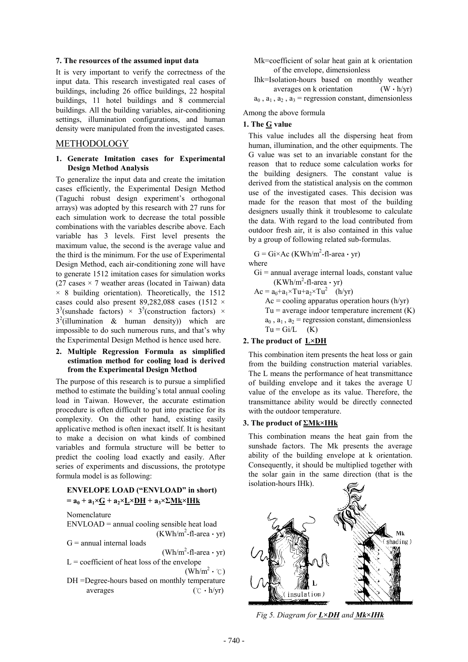#### **7. The resources of the assumed input data**

It is very important to verify the correctness of the input data. This research investigated real cases of buildings, including 26 office buildings, 22 hospital buildings, 11 hotel buildings and 8 commercial buildings. All the building variables, air-conditioning settings, illumination configurations, and human density were manipulated from the investigated cases.

#### METHODOLOGY

#### **1. Generate Imitation cases for Experimental Design Method Analysis**

To generalize the input data and create the imitation cases efficiently, the Experimental Design Method (Taguchi robust design experiment's orthogonal arrays) was adopted by this research with 27 runs for each simulation work to decrease the total possible combinations with the variables describe above. Each variable has 3 levels. First level presents the maximum value, the second is the average value and the third is the minimum. For the use of Experimental Design Method, each air-conditioning zone will have to generate 1512 imitation cases for simulation works (27 cases  $\times$  7 weather areas (located in Taiwan) data  $\times$  8 building orientation). Theoretically, the 1512 cases could also present 89,282,088 cases (1512  $\times$  $3^3$ (sunshade factors) ×  $3^5$ (construction factors) ×  $3^2$ (illumination & human density)) which are impossible to do such numerous runs, and that's why the Experimental Design Method is hence used here.

#### **2. Multiple Regression Formula as simplified estimation method for cooling load is derived from the Experimental Design Method**

The purpose of this research is to pursue a simplified method to estimate the building's total annual cooling load in Taiwan. However, the accurate estimation procedure is often difficult to put into practice for its complexity. On the other hand, existing easily applicative method is often inexact itself. It is hesitant to make a decision on what kinds of combined variables and formula structure will be better to predict the cooling load exactly and easily. After series of experiments and discussions, the prototype formula model is as following:

### **ENVELOPE LOAD ("ENVLOAD" in short)**   $=$ **a**<sub>0</sub> + **a**<sub>1</sub>×**<u>G</u></u> + <b>a**<sub>2</sub>×<u>**L**×**DH**</u> + **a**<sub>3</sub>×**Σ**<u>Mk</u>×**IHk**

Nomenclature

ENVLOAD = annual cooling sensible heat load  $(KWh/m^2$ -fl-area · yr)

 $G =$  annual internal loads

 $(\text{Wh/m}^2\text{-}f\text{1-area} \cdot \text{yr})$ 

- $L =$  coefficient of heat loss of the envelope  $(\text{Wh/m}^2 \cdot \text{C})$
- DH =Degree-hours based on monthly temperature averages  $({\rm \degree C} \cdot {\rm \degree h}/{\rm \space yr})$

Mk=coefficient of solar heat gain at k orientation of the envelope, dimensionless

Ihk=Isolation-hours based on monthly weather averages on k orientation  $(W \cdot h/yr)$  $a_0$ ,  $a_1$ ,  $a_2$ ,  $a_3$  = regression constant, dimensionless

Among the above formula

#### **1. The G value**

This value includes all the dispersing heat from human, illumination, and the other equipments. The G value was set to an invariable constant for the reason that to reduce some calculation works for the building designers. The constant value is derived from the statistical analysis on the common use of the investigated cases. This decision was made for the reason that most of the building designers usually think it troublesome to calculate the data. With regard to the load contributed from outdoor fresh air, it is also contained in this value by a group of following related sub-formulas.

 $G = Gi \times Ac$  (KWh/m<sup>2</sup>-fl-area  $\cdot$  yr) where

- $Gi =$  annual average internal loads, constant value  $(KWh/m^2$ -fl-area · yr)
- $Ac = a_0 + a_1 \times Tu + a_2 \times Tu^2$  (h/yr)  $Ac = cooling$  apparatus operation hours (h/yr)  $Tu = average$  indoor temperature increment  $(K)$  $a_0$ ,  $a_1$ ,  $a_2$  = regression constant, dimensionless  $Tu = Gi/L$  (K)

#### **2. The product of L×DH**

This combination item presents the heat loss or gain from the building construction material variables. The L means the performance of heat transmittance of building envelope and it takes the average U value of the envelope as its value. Therefore, the transmittance ability would be directly connected with the outdoor temperature.

#### **3. The product of ΣMk×IHk**

This combination means the heat gain from the sunshade factors. The Mk presents the average ability of the building envelope at k orientation. Consequently, it should be multiplied together with the solar gain in the same direction (that is the isolation-hours IHk).



*Fig 5. Diagram for L×DH and Mk×IHk*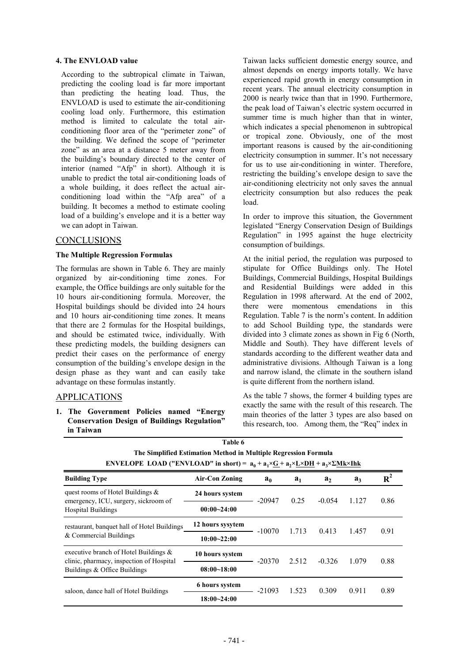#### **4. The ENVLOAD value**

According to the subtropical climate in Taiwan, predicting the cooling load is far more important than predicting the heating load. Thus, the ENVLOAD is used to estimate the air-conditioning cooling load only. Furthermore, this estimation method is limited to calculate the total airconditioning floor area of the "perimeter zone" of the building. We defined the scope of "perimeter zone" as an area at a distance 5 meter away from the building's boundary directed to the center of interior (named "Afp" in short). Although it is unable to predict the total air-conditioning loads of a whole building, it does reflect the actual airconditioning load within the "Afp area" of a building. It becomes a method to estimate cooling load of a building's envelope and it is a better way we can adopt in Taiwan.

#### CONCLUSIONS

#### **The Multiple Regression Formulas**

The formulas are shown in Table 6. They are mainly organized by air-conditioning time zones. For example, the Office buildings are only suitable for the 10 hours air-conditioning formula. Moreover, the Hospital buildings should be divided into 24 hours and 10 hours air-conditioning time zones. It means that there are 2 formulas for the Hospital buildings, and should be estimated twice, individually. With these predicting models, the building designers can predict their cases on the performance of energy consumption of the building's envelope design in the design phase as they want and can easily take advantage on these formulas instantly.

### APPLICATIONS

### **1. The Government Policies named "Energy Conservation Design of Buildings Regulation" in Taiwan**

Taiwan lacks sufficient domestic energy source, and almost depends on energy imports totally. We have experienced rapid growth in energy consumption in recent years. The annual electricity consumption in 2000 is nearly twice than that in 1990. Furthermore, the peak load of Taiwan's electric system occurred in summer time is much higher than that in winter, which indicates a special phenomenon in subtropical or tropical zone. Obviously, one of the most important reasons is caused by the air-conditioning electricity consumption in summer. It's not necessary for us to use air-conditioning in winter. Therefore, restricting the building's envelope design to save the air-conditioning electricity not only saves the annual electricity consumption but also reduces the peak load.

In order to improve this situation, the Government legislated "Energy Conservation Design of Buildings Regulation" in 1995 against the huge electricity consumption of buildings.

At the initial period, the regulation was purposed to stipulate for Office Buildings only. The Hotel Buildings, Commercial Buildings, Hospital Buildings and Residential Buildings were added in this Regulation in 1998 afterward. At the end of 2002, there were momentous emendations in this Regulation. Table 7 is the norm's content. In addition to add School Building type, the standards were divided into 3 climate zones as shown in Fig 6 (North, Middle and South). They have different levels of standards according to the different weather data and administrative divisions. Although Taiwan is a long and narrow island, the climate in the southern island is quite different from the northern island.

As the table 7 shows, the former 4 building types are exactly the same with the result of this research. The main theories of the latter 3 types are also based on this research, too. Among them, the "Req" index in

| ENVELOPE LOAD ("ENVLOAD" in short) = $a_0 + a_1 \times G + a_2 \times L \times DH + a_3 \times \Sigma MK \times Ihk$ |                                   |                |       |                |       |       |
|----------------------------------------------------------------------------------------------------------------------|-----------------------------------|----------------|-------|----------------|-------|-------|
| <b>Building Type</b>                                                                                                 | <b>Air-Con Zoning</b>             | a <sub>0</sub> | $a_1$ | a <sub>2</sub> | $a_3$ | $R^2$ |
| quest rooms of Hotel Buildings $\&$                                                                                  | 24 hours system                   | $-20947$       | 0.25  | $-0.054$       | 1.127 |       |
| emergency, ICU, surgery, sickroom of<br><b>Hospital Buildings</b>                                                    | $00:00 - 24:00$                   |                |       |                |       | 0.86  |
| restaurant, banquet hall of Hotel Buildings                                                                          | 12 hours sysytem                  | $-10070$       | 1.713 | 0.413          | 1.457 | 0.91  |
| & Commercial Buildings                                                                                               | $10:00 - 22:00$                   |                |       |                |       |       |
| executive branch of Hotel Buildings $\&$                                                                             | 10 hours system                   | $-20370$       | 2.512 | $-0.326$       | 1.079 |       |
| clinic, pharmacy, inspection of Hospital<br>Buildings & Office Buildings                                             | $08:00 - 18:00$                   |                |       |                |       | 0.88  |
| saloon, dance hall of Hotel Buildings                                                                                | <b>6</b> hours system<br>$-21093$ | 1.523          | 0.309 | 0.911          | 0.89  |       |
|                                                                                                                      | 18:00~24:00                       |                |       |                |       |       |

| Table 6                                                                                          |
|--------------------------------------------------------------------------------------------------|
| The Simplified Estimation Method in Multiple Regression Formula                                  |
| NVELOPE LOAD ("ENVLOAD" in short) = $a + a \times C + a \times D$ H + a $\times$ YMI $\times$ Ib |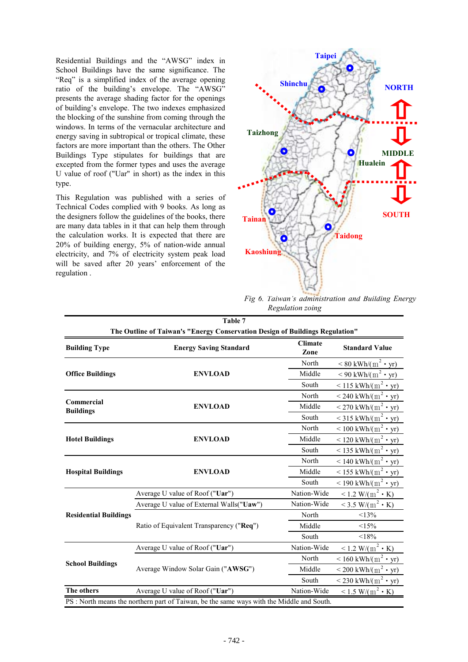Residential Buildings and the "AWSG" index in School Buildings have the same significance. The "Req" is a simplified index of the average opening ratio of the building's envelope. The "AWSG" presents the average shading factor for the openings of building's envelope. The two indexes emphasized the blocking of the sunshine from coming through the windows. In terms of the vernacular architecture and energy saving in subtropical or tropical climate, these factors are more important than the others. The Other Buildings Type stipulates for buildings that are excepted from the former types and uses the average U value of roof ("Uar" in short) as the index in this type.

This Regulation was published with a series of Technical Codes complied with 9 books. As long as the designers follow the guidelines of the books, there are many data tables in it that can help them through the calculation works. It is expected that there are 20% of building energy, 5% of nation-wide annual electricity, and 7% of electricity system peak load will be saved after 20 years' enforcement of the regulation .



*Fig 6. Taiwan's administration and Building Energy Regulation zoing* 

| Table 7                                                                                   |                                          |                        |                                                   |  |  |
|-------------------------------------------------------------------------------------------|------------------------------------------|------------------------|---------------------------------------------------|--|--|
| The Outline of Taiwan's "Energy Conservation Design of Buildings Regulation"              |                                          |                        |                                                   |  |  |
| <b>Building Type</b>                                                                      | <b>Energy Saving Standard</b>            | <b>Climate</b><br>Zone | <b>Standard Value</b>                             |  |  |
|                                                                                           |                                          | North                  | $\leq 80$ kWh/(m <sup>2</sup> • yr)               |  |  |
| <b>Office Buildings</b>                                                                   | <b>ENVLOAD</b>                           | Middle                 | $\leq$ 90 kWh/(m <sup>2</sup> • yr)               |  |  |
|                                                                                           |                                          | South                  | $\leq$ 115 kWh/(m <sup>2</sup> • yr)              |  |  |
| <b>Commercial</b>                                                                         |                                          | North                  | $\frac{1}{240 \text{ kWh/(m}^2 \cdot \text{yr})}$ |  |  |
| <b>Buildings</b>                                                                          | <b>ENVLOAD</b>                           | Middle                 | $\rm < 270 \; kWh/(m^2 \cdot yr)$                 |  |  |
|                                                                                           |                                          | South                  | $<$ 315 kWh/(m <sup>2</sup> • yr)                 |  |  |
|                                                                                           |                                          | North                  | $\rm{100~kWh/(m2 \cdot yr)}$                      |  |  |
| <b>Hotel Buildings</b>                                                                    | <b>ENVLOAD</b>                           | Middle                 | $\rm < 120 \; kWh/(m^2 \cdot yr)$                 |  |  |
|                                                                                           |                                          | South                  | $<$ 135 kWh/(m <sup>2</sup> • yr)                 |  |  |
|                                                                                           | <b>ENVLOAD</b>                           | North                  | $< 140$ kWh/(m <sup>2</sup> • yr)                 |  |  |
| <b>Hospital Buildings</b>                                                                 |                                          | Middle                 | $\rm < 155~kWh/(m^2 \cdot yr)$                    |  |  |
|                                                                                           |                                          | South                  | $\rm{190~kWh/(m2 \cdot yr)}$                      |  |  |
|                                                                                           | Average U value of Roof ("Uar")          | Nation-Wide            | $\leq$ 1.2 W/(m <sup>2</sup> · K)                 |  |  |
|                                                                                           | Average U value of External Walls("Uaw") | Nation-Wide            | <3.5 W/(m <sup>2</sup> $\cdot$ K)                 |  |  |
| <b>Residential Buildings</b>                                                              |                                          | North                  | <13%                                              |  |  |
|                                                                                           | Ratio of Equivalent Transparency ("Req") | Middle                 | <15%                                              |  |  |
|                                                                                           |                                          | South                  | < 18%                                             |  |  |
| <b>School Buildings</b>                                                                   | Average U value of Roof ("Uar")          | Nation-Wide            | $\leq$ 1.2 W/(m <sup>2</sup> · K)                 |  |  |
|                                                                                           | Average Window Solar Gain ("AWSG")       | North                  | $\leq 160$ kWh/(m <sup>2</sup> • yr)              |  |  |
|                                                                                           |                                          | Middle                 | $\rm{1200~kWh/(m^2 \cdot yr)}$                    |  |  |
|                                                                                           |                                          | South                  | $\rm < 230 \; kWh/(m^2 \cdot yr)$                 |  |  |
| The others                                                                                | Average U value of Roof ("Uar")          | Nation-Wide            | $\leq$ 1.5 W/(m <sup>2</sup> • K)                 |  |  |
| PS : North means the northern part of Taiwan, be the same ways with the Middle and South. |                                          |                        |                                                   |  |  |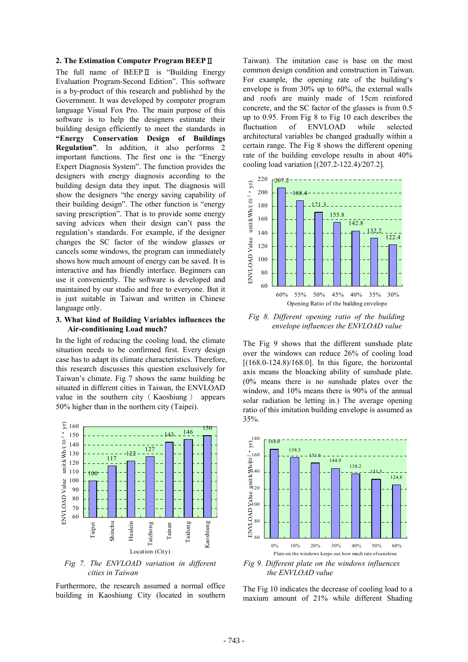#### **2. The Estimation Computer Program BEEP**Ⅱ

The full name of BEEPⅡ is "Building Energy Evaluation Program-Second Edition". This software is a by-product of this research and published by the Government. It was developed by computer program language Visual Fox Pro. The main purpose of this software is to help the designers estimate their building design efficiently to meet the standards in **"Energy Conservation Design of Buildings Regulation"**. In addition, it also performs 2 important functions. The first one is the "Energy Expert Diagnosis System". The function provides the designers with energy diagnosis according to the building design data they input. The diagnosis will show the designers "the energy saving capability of their building design". The other function is "energy saving prescription". That is to provide some energy saving advices when their design can't pass the regulation's standards. For example, if the designer changes the SC factor of the window glasses or cancels some windows, the program can immediately shows how much amount of energy can be saved. It is interactive and has friendly interface. Beginners can use it conveniently. The software is developed and maintained by our studio and free to everyone. But it is just suitable in Taiwan and written in Chinese language only.

#### **3. What kind of Building Variables influences the Air-conditioning Load much?**

In the light of reducing the cooling load, the climate situation needs to be confirmed first. Every design case has to adapt its climate characteristics. Therefore, this research discusses this question exclusively for Taiwan's climate. Fig 7 shows the same building be situated in different cities in Taiwan, the ENVLOAD value in the southern city(Kaoshiung) appears 50% higher than in the northern city (Taipei).



*Fig 7. The ENVLOAD variation in different cities in Taiwan* 

Furthermore, the research assumed a normal office building in Kaoshiung City (located in southern

Taiwan). The imitation case is base on the most common design condition and construction in Taiwan. For example, the opening rate of the building's envelope is from 30% up to 60%, the external walls and roofs are mainly made of 15cm reinfored concrete, and the SC factor of the glasses is from 0.5 up to 0.95. From Fig 8 to Fig 10 each describes the fluctuation of ENVLOAD while selected architectural variables be changed gradually within a certain range. The Fig 8 shows the different opening rate of the building envelope results in about 40% cooling load variation [(207.2-122.4)/207.2].



*Fig 8. Different opening ratio of the building envelope influences the ENVLOAD value*

The Fig 9 shows that the different sunshade plate over the windows can reduce 26% of cooling load  $[(168.0-124.8)/168.0]$ . In this figure, the horizontal axis means the bloacking ability of sunshade plate. (0% means there is no sunshade plates over the window, and 10% means there is 90% of the annual solar radiation be letting in.) The average opening ratio of this imitation building envelope is assumed as 35%.



*Fig 9. Different plate on the windows influences the ENVLOAD value* 

The Fig 10 indicates the decrease of cooling load to a maxium amount of 21% while different Shading